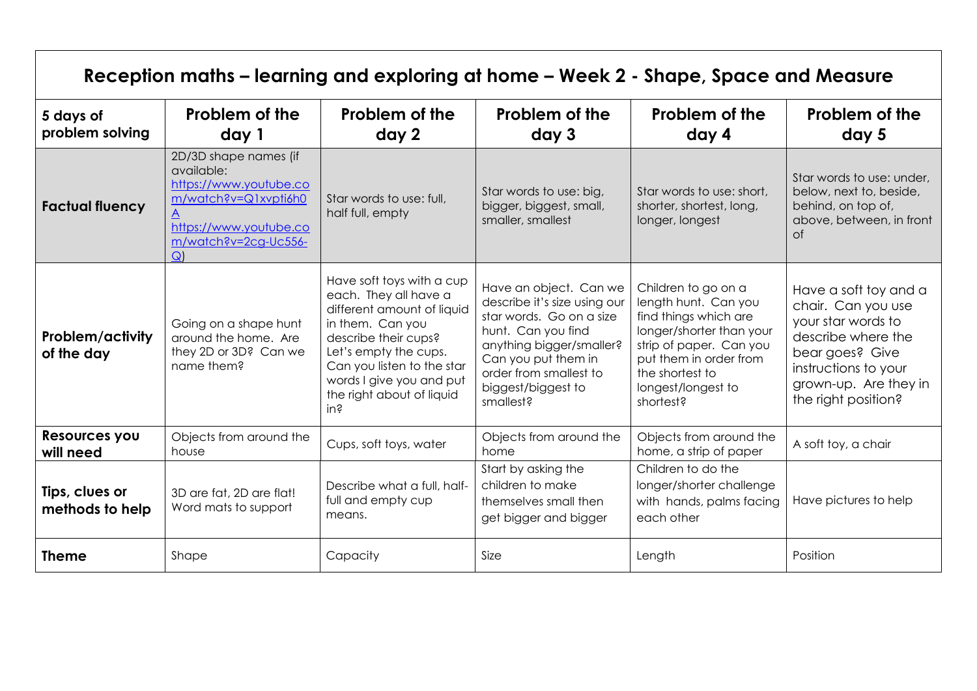| Reception maths – learning and exploring at home – Week 2 - Shape, Space and Measure |                                                                                                                                                     |                                                                                                                                                                                                                                                                 |                                                                                                                                                                                                                          |                                                                                                                                                                                                             |                                                                                                                                                                                    |
|--------------------------------------------------------------------------------------|-----------------------------------------------------------------------------------------------------------------------------------------------------|-----------------------------------------------------------------------------------------------------------------------------------------------------------------------------------------------------------------------------------------------------------------|--------------------------------------------------------------------------------------------------------------------------------------------------------------------------------------------------------------------------|-------------------------------------------------------------------------------------------------------------------------------------------------------------------------------------------------------------|------------------------------------------------------------------------------------------------------------------------------------------------------------------------------------|
| 5 days of<br>problem solving                                                         | <b>Problem of the</b><br>day 1                                                                                                                      | Problem of the<br>day 2                                                                                                                                                                                                                                         | Problem of the<br>day 3                                                                                                                                                                                                  | Problem of the<br>day 4                                                                                                                                                                                     | Problem of the<br>day 5                                                                                                                                                            |
| <b>Factual fluency</b>                                                               | 2D/3D shape names (if<br>available:<br>https://www.youtube.co<br>m/watch?v=Q1xvpti6h0<br>https://www.youtube.co<br>m/watch?v=2cg-Uc556-<br>$\Omega$ | Star words to use: full,<br>half full, empty                                                                                                                                                                                                                    | Star words to use: big,<br>bigger, biggest, small,<br>smaller, smallest                                                                                                                                                  | Star words to use: short,<br>shorter, shortest, long,<br>longer, longest                                                                                                                                    | Star words to use: under,<br>below, next to, beside,<br>behind, on top of,<br>above, between, in front<br><b>of</b>                                                                |
| <b>Problem/activity</b><br>of the day                                                | Going on a shape hunt<br>around the home. Are<br>they 2D or 3D? Can we<br>name them?                                                                | Have soft toys with a cup<br>each. They all have a<br>different amount of liquid<br>in them. Can you<br>describe their cups?<br>Let's empty the cups.<br>Can you listen to the star<br>words I give you and put<br>the right about of liquid<br>in <sup>2</sup> | Have an object. Can we<br>describe it's size using our<br>star words. Go on a size<br>hunt. Can you find<br>anything bigger/smaller?<br>Can you put them in<br>order from smallest to<br>biggest/biggest to<br>smallest? | Children to go on a<br>length hunt. Can you<br>find things which are<br>longer/shorter than your<br>strip of paper. Can you<br>put them in order from<br>the shortest to<br>longest/longest to<br>shortest? | Have a soft toy and a<br>chair. Can you use<br>your star words to<br>describe where the<br>bear goes? Give<br>instructions to your<br>grown-up. Are they in<br>the right position? |
| Resources you<br>will need                                                           | Objects from around the<br>house                                                                                                                    | Cups, soft toys, water                                                                                                                                                                                                                                          | Objects from around the<br>home                                                                                                                                                                                          | Objects from around the<br>home, a strip of paper                                                                                                                                                           | A soft toy, a chair                                                                                                                                                                |
| Tips, clues or<br>methods to help                                                    | 3D are fat, 2D are flat!<br>Word mats to support                                                                                                    | Describe what a full, half-<br>full and empty cup<br>means.                                                                                                                                                                                                     | Start by asking the<br>children to make<br>themselves small then<br>get bigger and bigger                                                                                                                                | Children to do the<br>longer/shorter challenge<br>with hands, palms facing<br>each other                                                                                                                    | Have pictures to help                                                                                                                                                              |
| <b>Theme</b>                                                                         | Shape                                                                                                                                               | Capacity                                                                                                                                                                                                                                                        | Size                                                                                                                                                                                                                     | Length                                                                                                                                                                                                      | Position                                                                                                                                                                           |

 $\mathbf{r}$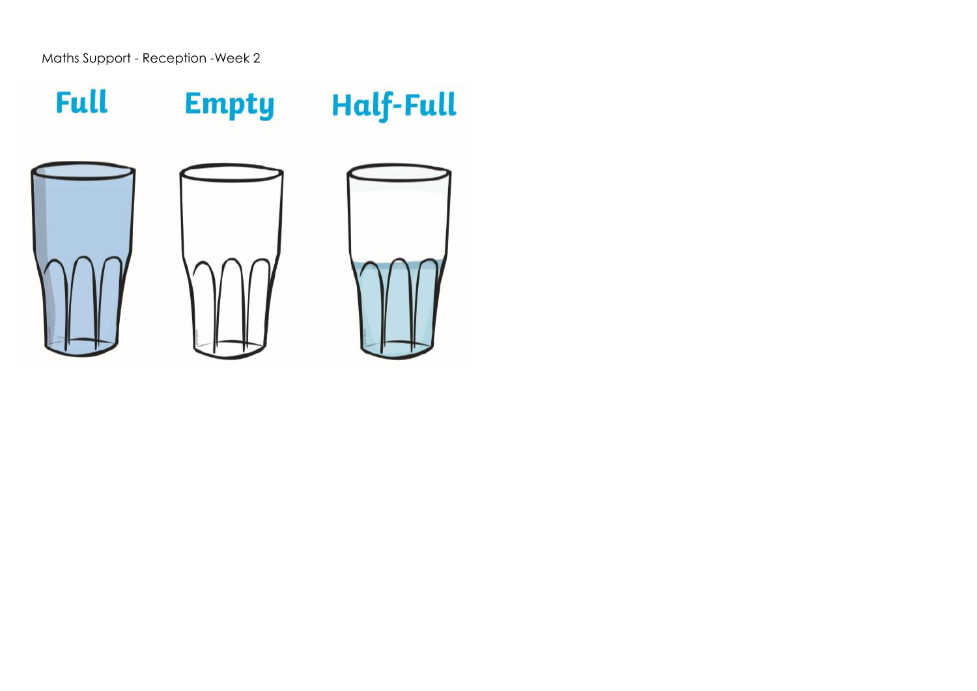Maths Support - Reception -Week 2

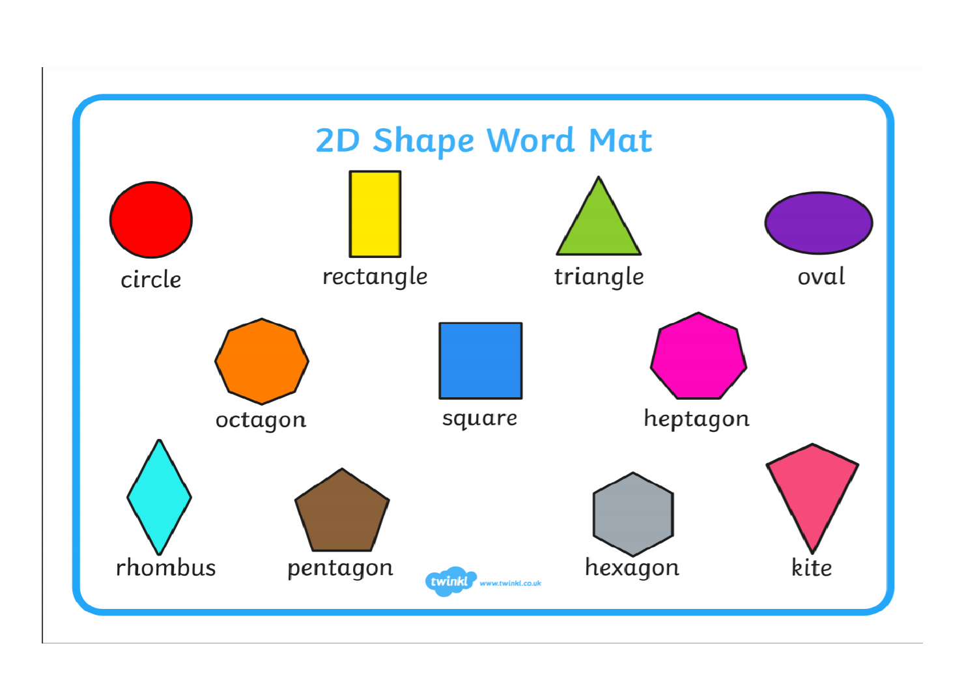